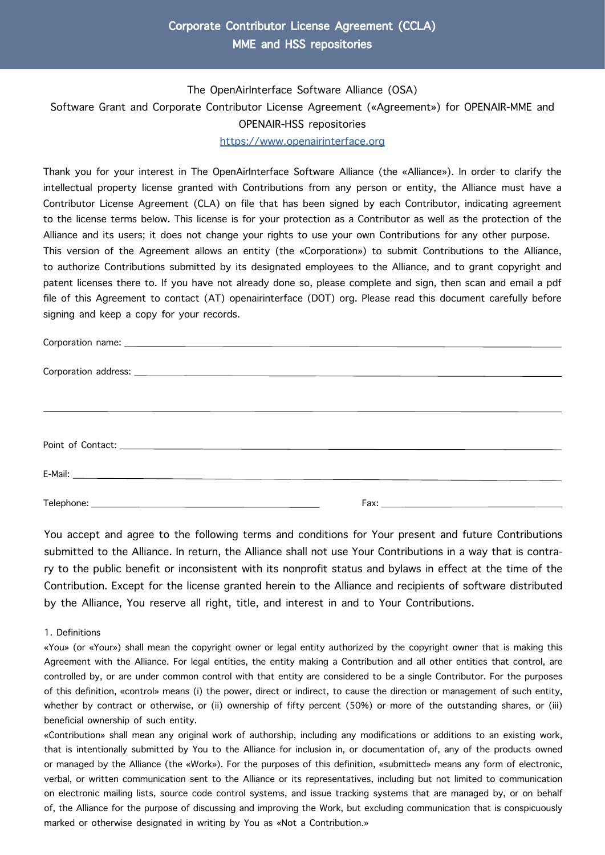## Corporate Contributor License Agreement (CCLA) MME and HSS repositories

# The OpenAirInterface Software Alliance (OSA) Software Grant and Corporate Contributor License Agreement («Agreement») for OPENAIR-MME and OPENAIR-HSS repositories [https://www.openairinterface.org](https://openairinterface.org/)

Thank you for your interest in The OpenAirInterface Software Alliance (the «Alliance»). In order to clarify the intellectual property license granted with Contributions from any person or entity, the Alliance must have a Contributor License Agreement (CLA) on file that has been signed by each Contributor, indicating agreement to the license terms below. This license is for your protection as a Contributor as well as the protection of the Alliance and its users; it does not change your rights to use your own Contributions for any other purpose. This version of the Agreement allows an entity (the «Corporation») to submit Contributions to the Alliance, to authorize Contributions submitted by its designated employees to the Alliance, and to grant copyright and patent licenses there to. If you have not already done so, please complete and sign, then scan and email a pdf file of this Agreement to contact (AT) openairinterface (DOT) org. Please read this document carefully before signing and keep a copy for your records.

You accept and agree to the following terms and conditions for Your present and future Contributions submitted to the Alliance. In return, the Alliance shall not use Your Contributions in a way that is contrary to the public benefit or inconsistent with its nonprofit status and bylaws in effect at the time of the Contribution. Except for the license granted herein to the Alliance and recipients of software distributed by the Alliance, You reserve all right, title, and interest in and to Your Contributions.

#### 1. Definitions

«You» (or «Your») shall mean the copyright owner or legal entity authorized by the copyright owner that is making this Agreement with the Alliance. For legal entities, the entity making a Contribution and all other entities that control, are controlled by, or are under common control with that entity are considered to be a single Contributor. For the purposes of this definition, «control» means (i) the power, direct or indirect, to cause the direction or management of such entity, whether by contract or otherwise, or (ii) ownership of fifty percent (50%) or more of the outstanding shares, or (iii) beneficial ownership of such entity.

«Contribution» shall mean any original work of authorship, including any modifications or additions to an existing work, that is intentionally submitted by You to the Alliance for inclusion in, or documentation of, any of the products owned or managed by the Alliance (the «Work»). For the purposes of this definition, «submitted» means any form of electronic, verbal, or written communication sent to the Alliance or its representatives, including but not limited to communication on electronic mailing lists, source code control systems, and issue tracking systems that are managed by, or on behalf of, the Alliance for the purpose of discussing and improving the Work, but excluding communication that is conspicuously marked or otherwise designated in writing by You as «Not a Contribution.»